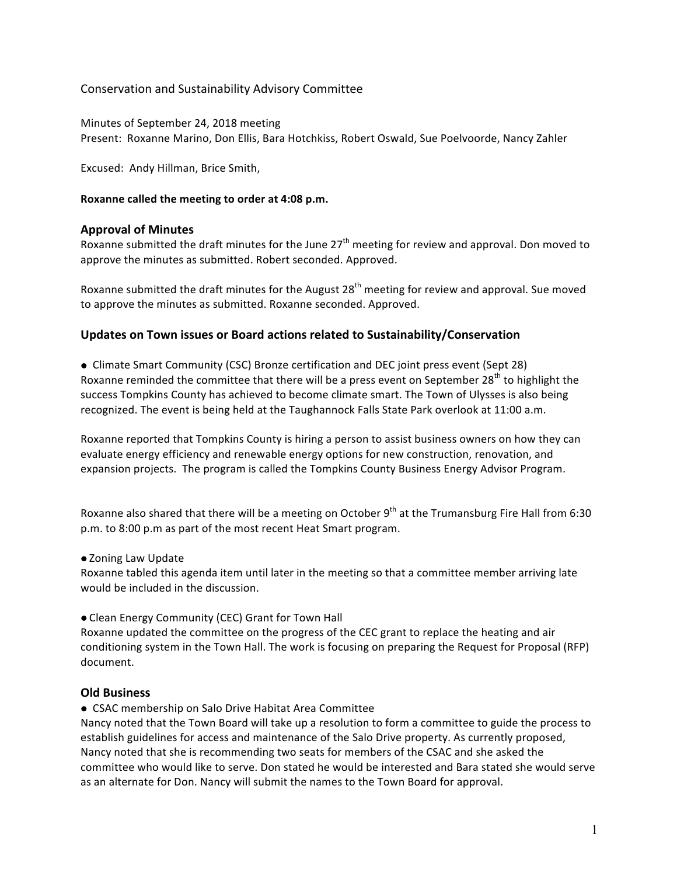# Conservation and Sustainability Advisory Committee

Minutes of September 24, 2018 meeting Present: Roxanne Marino, Don Ellis, Bara Hotchkiss, Robert Oswald, Sue Poelvoorde, Nancy Zahler

Excused: Andy Hillman, Brice Smith,

### **Roxanne called the meeting to order at 4:08 p.m.**

# **Approval of Minutes**

Roxanne submitted the draft minutes for the June  $27<sup>th</sup>$  meeting for review and approval. Don moved to approve the minutes as submitted. Robert seconded. Approved.

Roxanne submitted the draft minutes for the August  $28<sup>th</sup>$  meeting for review and approval. Sue moved to approve the minutes as submitted. Roxanne seconded. Approved.

# **Updates on Town issues or Board actions related to Sustainability/Conservation**

• Climate Smart Community (CSC) Bronze certification and DEC joint press event (Sept 28) Roxanne reminded the committee that there will be a press event on September 28<sup>th</sup> to highlight the success Tompkins County has achieved to become climate smart. The Town of Ulysses is also being recognized. The event is being held at the Taughannock Falls State Park overlook at 11:00 a.m.

Roxanne reported that Tompkins County is hiring a person to assist business owners on how they can evaluate energy efficiency and renewable energy options for new construction, renovation, and expansion projects. The program is called the Tompkins County Business Energy Advisor Program.

Roxanne also shared that there will be a meeting on October  $9<sup>th</sup>$  at the Trumansburg Fire Hall from 6:30 p.m. to 8:00 p.m as part of the most recent Heat Smart program.

#### • Zoning Law Update

Roxanne tabled this agenda item until later in the meeting so that a committee member arriving late would be included in the discussion.

• Clean Energy Community (CEC) Grant for Town Hall

Roxanne updated the committee on the progress of the CEC grant to replace the heating and air conditioning system in the Town Hall. The work is focusing on preparing the Request for Proposal (RFP) document.

### **Old Business**

**• CSAC membership on Salo Drive Habitat Area Committee** 

Nancy noted that the Town Board will take up a resolution to form a committee to guide the process to establish guidelines for access and maintenance of the Salo Drive property. As currently proposed, Nancy noted that she is recommending two seats for members of the CSAC and she asked the committee who would like to serve. Don stated he would be interested and Bara stated she would serve as an alternate for Don. Nancy will submit the names to the Town Board for approval.